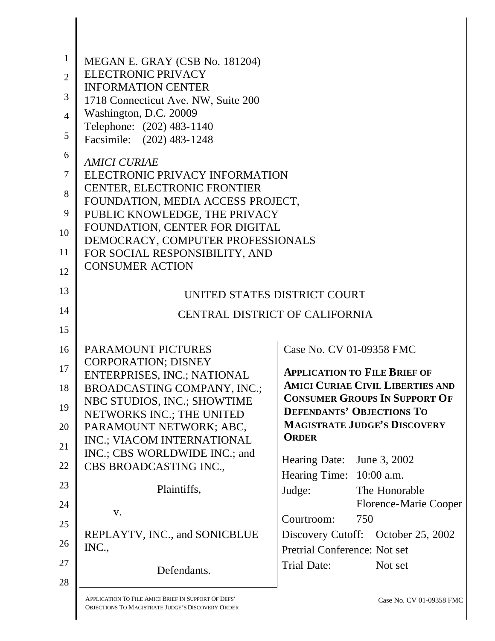| $\mathbf{1}$   |                                                             |                                         |  |  |  |  |  |
|----------------|-------------------------------------------------------------|-----------------------------------------|--|--|--|--|--|
|                | MEGAN E. GRAY (CSB No. 181204)<br><b>ELECTRONIC PRIVACY</b> |                                         |  |  |  |  |  |
| $\overline{2}$ | <b>INFORMATION CENTER</b>                                   |                                         |  |  |  |  |  |
| 3              | 1718 Connecticut Ave. NW, Suite 200                         |                                         |  |  |  |  |  |
| $\overline{4}$ | Washington, D.C. 20009                                      |                                         |  |  |  |  |  |
|                | Telephone: (202) 483-1140                                   |                                         |  |  |  |  |  |
| 5              | Facsimile: (202) 483-1248                                   |                                         |  |  |  |  |  |
| 6              | <b>AMICI CURIAE</b>                                         |                                         |  |  |  |  |  |
| $\tau$         | ELECTRONIC PRIVACY INFORMATION                              |                                         |  |  |  |  |  |
|                | <b>CENTER, ELECTRONIC FRONTIER</b>                          |                                         |  |  |  |  |  |
| 8              | FOUNDATION, MEDIA ACCESS PROJECT,                           |                                         |  |  |  |  |  |
| 9              | PUBLIC KNOWLEDGE, THE PRIVACY                               |                                         |  |  |  |  |  |
| 10             | FOUNDATION, CENTER FOR DIGITAL                              |                                         |  |  |  |  |  |
| 11             | DEMOCRACY, COMPUTER PROFESSIONALS                           |                                         |  |  |  |  |  |
|                | FOR SOCIAL RESPONSIBILITY, AND<br><b>CONSUMER ACTION</b>    |                                         |  |  |  |  |  |
| 12             |                                                             |                                         |  |  |  |  |  |
| 13             | UNITED STATES DISTRICT COURT                                |                                         |  |  |  |  |  |
| 14             | CENTRAL DISTRICT OF CALIFORNIA                              |                                         |  |  |  |  |  |
| 15             |                                                             |                                         |  |  |  |  |  |
|                |                                                             |                                         |  |  |  |  |  |
| 16             | PARAMOUNT PICTURES<br><b>CORPORATION; DISNEY</b>            | Case No. CV 01-09358 FMC                |  |  |  |  |  |
| 17             | ENTERPRISES, INC.; NATIONAL                                 | <b>APPLICATION TO FILE BRIEF OF</b>     |  |  |  |  |  |
| 18             | BROADCASTING COMPANY, INC.;                                 | <b>AMICI CURIAE CIVIL LIBERTIES AND</b> |  |  |  |  |  |
|                | NBC STUDIOS, INC.; SHOWTIME                                 | <b>CONSUMER GROUPS IN SUPPORT OF</b>    |  |  |  |  |  |
| 19             | NETWORKS INC.; THE UNITED                                   | <b>DEFENDANTS' OBJECTIONS TO</b>        |  |  |  |  |  |
| 20             | PARAMOUNT NETWORK; ABC,                                     | <b>MAGISTRATE JUDGE'S DISCOVERY</b>     |  |  |  |  |  |
| 21             | INC.; VIACOM INTERNATIONAL                                  | <b>ORDER</b>                            |  |  |  |  |  |
|                | INC.; CBS WORLDWIDE INC.; and                               | Hearing Date: June 3, 2002              |  |  |  |  |  |
| 22             | CBS BROADCASTING INC.,                                      | Hearing Time: 10:00 a.m.                |  |  |  |  |  |
| 23             | Plaintiffs,                                                 | Judge:<br>The Honorable                 |  |  |  |  |  |
| 24             |                                                             | <b>Florence-Marie Cooper</b>            |  |  |  |  |  |
|                | V.                                                          | 750<br>Courtroom:                       |  |  |  |  |  |
| 25             | REPLAYTV, INC., and SONICBLUE                               | Discovery Cutoff: October 25, 2002      |  |  |  |  |  |
| 26             | INC.,                                                       | Pretrial Conference: Not set            |  |  |  |  |  |
| 27             |                                                             | Trial Date:<br>Not set                  |  |  |  |  |  |
|                | Defendants.                                                 |                                         |  |  |  |  |  |
| 28             |                                                             |                                         |  |  |  |  |  |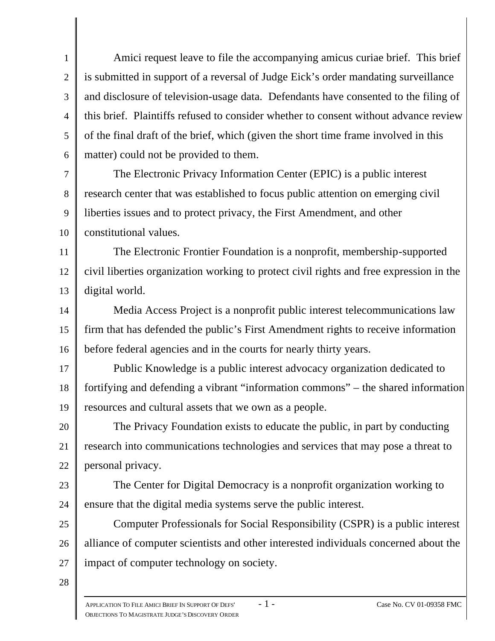1 2 3 4 5 6 Amici request leave to file the accompanying amicus curiae brief. This brief is submitted in support of a reversal of Judge Eick's order mandating surveillance and disclosure of television-usage data. Defendants have consented to the filing of this brief. Plaintiffs refused to consider whether to consent without advance review of the final draft of the brief, which (given the short time frame involved in this matter) could not be provided to them.

7 8 9 10 The Electronic Privacy Information Center (EPIC) is a public interest research center that was established to focus public attention on emerging civil liberties issues and to protect privacy, the First Amendment, and other constitutional values.

11 12 13 The Electronic Frontier Foundation is a nonprofit, membership-supported civil liberties organization working to protect civil rights and free expression in the digital world.

14 15 16 Media Access Project is a nonprofit public interest telecommunications law firm that has defended the public's First Amendment rights to receive information before federal agencies and in the courts for nearly thirty years.

17 18 19 Public Knowledge is a public interest advocacy organization dedicated to fortifying and defending a vibrant "information commons" – the shared information resources and cultural assets that we own as a people.

20 21 22 The Privacy Foundation exists to educate the public, in part by conducting research into communications technologies and services that may pose a threat to personal privacy.

23 24 The Center for Digital Democracy is a nonprofit organization working to ensure that the digital media systems serve the public interest.

25 26 27 Computer Professionals for Social Responsibility (CSPR) is a public interest alliance of computer scientists and other interested individuals concerned about the impact of computer technology on society.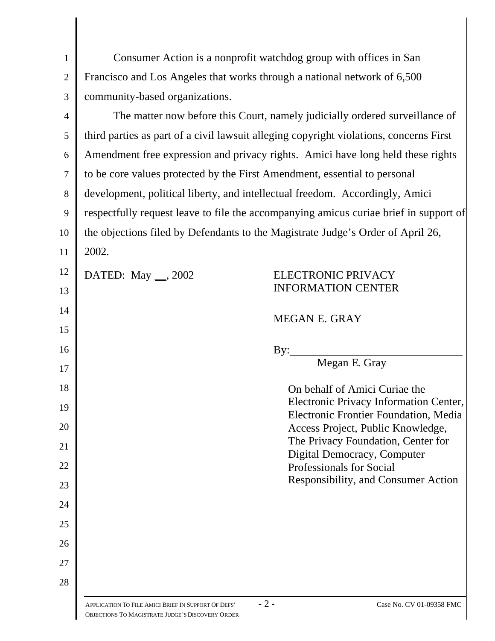| $\mathbf{1}$   | Consumer Action is a nonprofit watchdog group with offices in San                        |  |  |  |
|----------------|------------------------------------------------------------------------------------------|--|--|--|
| $\overline{2}$ | Francisco and Los Angeles that works through a national network of 6,500                 |  |  |  |
| 3              | community-based organizations.                                                           |  |  |  |
| $\overline{4}$ | The matter now before this Court, namely judicially ordered surveillance of              |  |  |  |
| 5              | third parties as part of a civil lawsuit alleging copyright violations, concerns First   |  |  |  |
| 6              | Amendment free expression and privacy rights. Amici have long held these rights          |  |  |  |
| $\tau$         | to be core values protected by the First Amendment, essential to personal                |  |  |  |
| 8              | development, political liberty, and intellectual freedom. Accordingly, Amici             |  |  |  |
| 9              | respectfully request leave to file the accompanying amicus curiae brief in support of    |  |  |  |
| 10             | the objections filed by Defendants to the Magistrate Judge's Order of April 26,          |  |  |  |
| 11             | 2002.                                                                                    |  |  |  |
| 12             | DATED: May __, 2002<br>ELECTRONIC PRIVACY                                                |  |  |  |
| 13             | <b>INFORMATION CENTER</b>                                                                |  |  |  |
| 14             | MEGAN E. GRAY                                                                            |  |  |  |
| 15             |                                                                                          |  |  |  |
| 16             | By:                                                                                      |  |  |  |
| 17             | Megan E. Gray                                                                            |  |  |  |
| 18             | On behalf of Amici Curiae the                                                            |  |  |  |
| 19             | Electronic Privacy Information Center,<br>Electronic Frontier Foundation, Media          |  |  |  |
| 20             | Access Project, Public Knowledge,                                                        |  |  |  |
| 21             | The Privacy Foundation, Center for<br>Digital Democracy, Computer                        |  |  |  |
| 22             | Professionals for Social                                                                 |  |  |  |
| 23             | Responsibility, and Consumer Action                                                      |  |  |  |
| 24             |                                                                                          |  |  |  |
| 25             |                                                                                          |  |  |  |
| 26             |                                                                                          |  |  |  |
| 27             |                                                                                          |  |  |  |
| 28             |                                                                                          |  |  |  |
|                | $-2-$<br>Case No. CV 01-09358 FMC<br>APPLICATION TO FILE AMICI BRIEF IN SUPPORT OF DEFS' |  |  |  |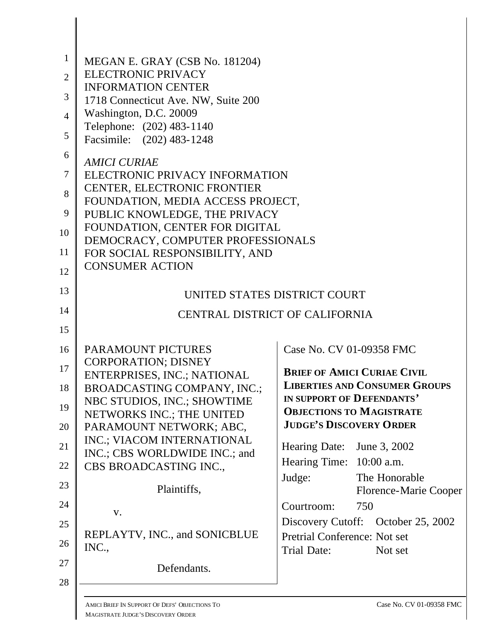| $\mathbf{1}$   | MEGAN E. GRAY (CSB No. 181204)                                     |                                                                   |  |  |  |  |  |
|----------------|--------------------------------------------------------------------|-------------------------------------------------------------------|--|--|--|--|--|
| $\overline{2}$ | <b>ELECTRONIC PRIVACY</b>                                          |                                                                   |  |  |  |  |  |
|                | <b>INFORMATION CENTER</b>                                          |                                                                   |  |  |  |  |  |
| 3              | 1718 Connecticut Ave. NW, Suite 200                                |                                                                   |  |  |  |  |  |
| $\overline{4}$ | Washington, D.C. 20009                                             |                                                                   |  |  |  |  |  |
| 5              | Telephone: (202) 483-1140<br>Facsimile: (202) 483-1248             |                                                                   |  |  |  |  |  |
| 6              | <b>AMICI CURIAE</b>                                                |                                                                   |  |  |  |  |  |
| $\tau$         | ELECTRONIC PRIVACY INFORMATION                                     |                                                                   |  |  |  |  |  |
| 8              | CENTER, ELECTRONIC FRONTIER                                        |                                                                   |  |  |  |  |  |
| 9              | FOUNDATION, MEDIA ACCESS PROJECT,<br>PUBLIC KNOWLEDGE, THE PRIVACY |                                                                   |  |  |  |  |  |
| 10             | FOUNDATION, CENTER FOR DIGITAL                                     |                                                                   |  |  |  |  |  |
| 11             | DEMOCRACY, COMPUTER PROFESSIONALS                                  |                                                                   |  |  |  |  |  |
|                | FOR SOCIAL RESPONSIBILITY, AND<br><b>CONSUMER ACTION</b>           |                                                                   |  |  |  |  |  |
| 12             |                                                                    |                                                                   |  |  |  |  |  |
| 13             | UNITED STATES DISTRICT COURT                                       |                                                                   |  |  |  |  |  |
| 14             | CENTRAL DISTRICT OF CALIFORNIA                                     |                                                                   |  |  |  |  |  |
| 15             |                                                                    |                                                                   |  |  |  |  |  |
| 16             | PARAMOUNT PICTURES                                                 | Case No. CV 01-09358 FMC                                          |  |  |  |  |  |
| 17             | <b>CORPORATION; DISNEY</b><br>ENTERPRISES, INC.; NATIONAL          | <b>BRIEF OF AMICI CURIAE CIVIL</b>                                |  |  |  |  |  |
| 18             | BROADCASTING COMPANY, INC.;                                        | <b>LIBERTIES AND CONSUMER GROUPS</b>                              |  |  |  |  |  |
| 19             | NBC STUDIOS, INC.; SHOWTIME                                        | IN SUPPORT OF DEFENDANTS'                                         |  |  |  |  |  |
|                | NETWORKS INC.; THE UNITED                                          | <b>OBJECTIONS TO MAGISTRATE</b><br><b>JUDGE'S DISCOVERY ORDER</b> |  |  |  |  |  |
| 20             | PARAMOUNT NETWORK; ABC,                                            |                                                                   |  |  |  |  |  |
| 21             | INC.; VIACOM INTERNATIONAL<br>INC.; CBS WORLDWIDE INC.; and        | <b>Hearing Date:</b><br>June 3, 2002                              |  |  |  |  |  |
| 22             | CBS BROADCASTING INC.,                                             | Hearing Time: 10:00 a.m.                                          |  |  |  |  |  |
| 23             | Plaintiffs,                                                        | Judge:<br>The Honorable<br><b>Florence-Marie Cooper</b>           |  |  |  |  |  |
| 24             |                                                                    | Courtroom:<br>750                                                 |  |  |  |  |  |
| 25             | V.                                                                 | Discovery Cutoff: October 25, 2002                                |  |  |  |  |  |
| 26             | REPLAYTV, INC., and SONICBLUE                                      | Pretrial Conference: Not set                                      |  |  |  |  |  |
|                | INC.,                                                              | Trial Date:<br>Not set                                            |  |  |  |  |  |
| 27             | Defendants.                                                        |                                                                   |  |  |  |  |  |
| 28             |                                                                    |                                                                   |  |  |  |  |  |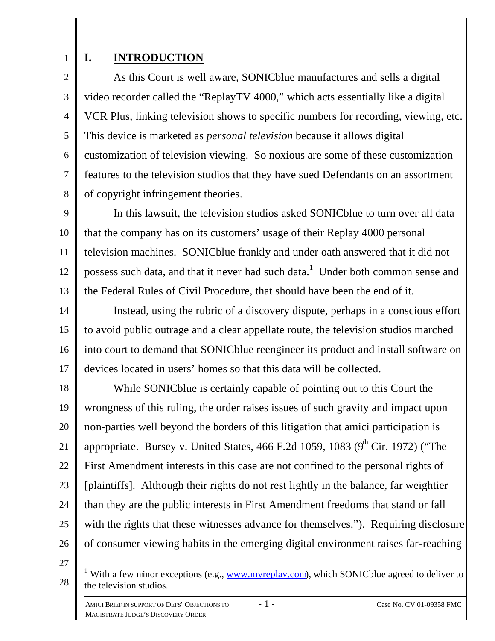2

3

4

5

6

7

8

# **I. INTRODUCTION**

As this Court is well aware, SONICblue manufactures and sells a digital video recorder called the "ReplayTV 4000," which acts essentially like a digital VCR Plus, linking television shows to specific numbers for recording, viewing, etc. This device is marketed as *personal television* because it allows digital customization of television viewing. So noxious are some of these customization features to the television studios that they have sued Defendants on an assortment of copyright infringement theories.

9 10 11 12 13 In this lawsuit, the television studios asked SONICblue to turn over all data that the company has on its customers' usage of their Replay 4000 personal television machines. SONICblue frankly and under oath answered that it did not possess such data, and that it never had such data.<sup>1</sup> Under both common sense and the Federal Rules of Civil Procedure, that should have been the end of it.

14 15 16 17 Instead, using the rubric of a discovery dispute, perhaps in a conscious effort to avoid public outrage and a clear appellate route, the television studios marched into court to demand that SONICblue reengineer its product and install software on devices located in users' homes so that this data will be collected.

18 19 20 21 22 23 24 25 26 While SONICblue is certainly capable of pointing out to this Court the wrongness of this ruling, the order raises issues of such gravity and impact upon non-parties well beyond the borders of this litigation that amici participation is appropriate. Bursey v. United States, 466 F.2d 1059, 1083 ( $9<sup>th</sup>$  Cir. 1972) ("The First Amendment interests in this case are not confined to the personal rights of [plaintiffs]. Although their rights do not rest lightly in the balance, far weightier than they are the public interests in First Amendment freedoms that stand or fall with the rights that these witnesses advance for themselves."). Requiring disclosure of consumer viewing habits in the emerging digital environment raises far-reaching

<sup>28</sup>  $\overline{1}$ <sup>1</sup> With a few minor exceptions (e.g.,  $\frac{www.myreplay.com}{www.myreplay.com}$ ), which SONICblue agreed to deliver to the television studios.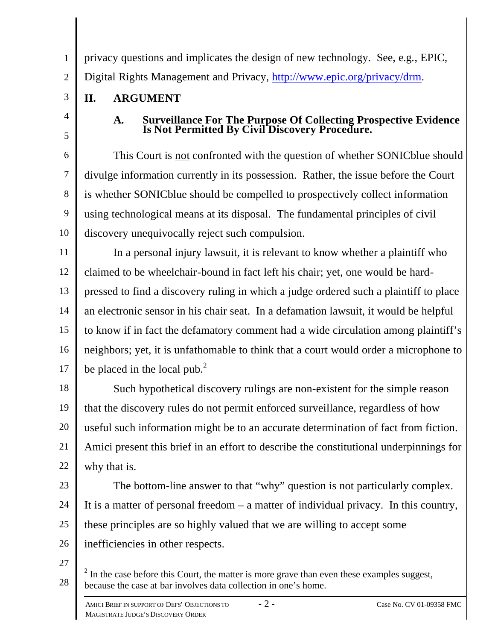3

# **II. ARGUMENT**

4

5

# **A. Surveillance For The Purpose Of Collecting Prospective Evidence Is Not Permitted By Civil Discovery Procedure.**

6 7 8 9 10 This Court is not confronted with the question of whether SONICblue should divulge information currently in its possession. Rather, the issue before the Court is whether SONICblue should be compelled to prospectively collect information using technological means at its disposal. The fundamental principles of civil discovery unequivocally reject such compulsion.

privacy questions and implicates the design of new technology. See, e.g., EPIC,

Digital Rights Management and Privacy, http://www.epic.org/privacy/drm.

11 12 13 14 15 16 17 In a personal injury lawsuit, it is relevant to know whether a plaintiff who claimed to be wheelchair-bound in fact left his chair; yet, one would be hardpressed to find a discovery ruling in which a judge ordered such a plaintiff to place an electronic sensor in his chair seat. In a defamation lawsuit, it would be helpful to know if in fact the defamatory comment had a wide circulation among plaintiff's neighbors; yet, it is unfathomable to think that a court would order a microphone to be placed in the local pub.<sup>2</sup>

18 19 20 21 22 Such hypothetical discovery rulings are non-existent for the simple reason that the discovery rules do not permit enforced surveillance, regardless of how useful such information might be to an accurate determination of fact from fiction. Amici present this brief in an effort to describe the constitutional underpinnings for why that is.

23

24 25 26 The bottom-line answer to that "why" question is not particularly complex. It is a matter of personal freedom – a matter of individual privacy. In this country, these principles are so highly valued that we are willing to accept some inefficiencies in other respects.

<sup>28</sup>  $\frac{2}{\pi}$  In the case before this Court, the matter is more grave than even these examples suggest, because the case at bar involves data collection in one's home.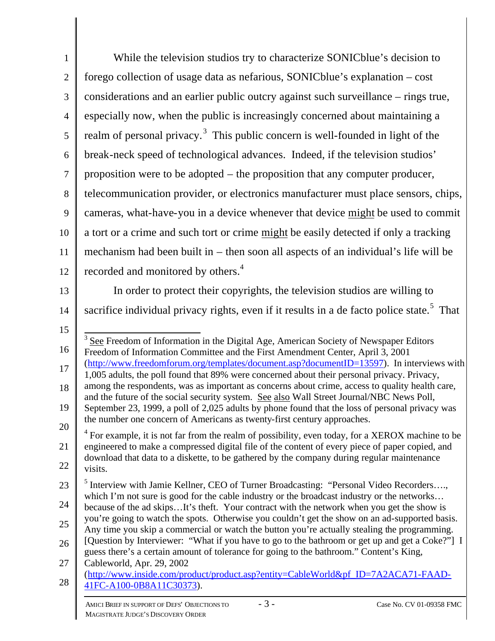| $\mathbf{1}$   | While the television studios try to characterize SONICblue's decision to                                                                                                                         |
|----------------|--------------------------------------------------------------------------------------------------------------------------------------------------------------------------------------------------|
| $\overline{2}$ | forego collection of usage data as nefarious, SONICblue's explanation – cost                                                                                                                     |
| 3              | considerations and an earlier public outcry against such surveillance – rings true,                                                                                                              |
| $\overline{4}$ | especially now, when the public is increasingly concerned about maintaining a                                                                                                                    |
| $\overline{5}$ | realm of personal privacy. <sup>3</sup> This public concern is well-founded in light of the                                                                                                      |
| 6              | break-neck speed of technological advances. Indeed, if the television studios'                                                                                                                   |
| $\tau$         | proposition were to be adopted – the proposition that any computer producer,                                                                                                                     |
| 8              | telecommunication provider, or electronics manufacturer must place sensors, chips,                                                                                                               |
| 9              | cameras, what-have-you in a device whenever that device might be used to commit                                                                                                                  |
| 10             | a tort or a crime and such tort or crime might be easily detected if only a tracking                                                                                                             |
| 11             | mechanism had been built in – then soon all aspects of an individual's life will be                                                                                                              |
| 12             | recorded and monitored by others. <sup>4</sup>                                                                                                                                                   |
| 13             | In order to protect their copyrights, the television studios are willing to                                                                                                                      |
| 14             | sacrifice individual privacy rights, even if it results in a de facto police state. <sup>5</sup> That                                                                                            |
| 15             |                                                                                                                                                                                                  |
| 16             | See Freedom of Information in the Digital Age, American Society of Newspaper Editors<br>Freedom of Information Committee and the First Amendment Center, April 3, 2001                           |
| 17             | (http://www.freedomforum.org/templates/document.asp?documentID=13597). In interviews with<br>1,005 adults, the poll found that 89% were concerned about their personal privacy. Privacy,         |
| 18             | among the respondents, was as important as concerns about crime, access to quality health care,<br>and the future of the social security system. See also Wall Street Journal/NBC News Poll,     |
| 19             | September 23, 1999, a poll of 2,025 adults by phone found that the loss of personal privacy was                                                                                                  |
| 20             | the number one concern of Americans as twenty-first century approaches.<br>$4$ For example, it is not far from the realm of possibility, even today, for a XEROX machine to be                   |
| 21             | engineered to make a compressed digital file of the content of every piece of paper copied, and<br>download that data to a diskette, to be gathered by the company during regular maintenance    |
| 22             | visits.                                                                                                                                                                                          |
| 23             | <sup>5</sup> Interview with Jamie Kellner, CEO of Turner Broadcasting: "Personal Video Recorders,<br>which I'm not sure is good for the cable industry or the broadcast industry or the networks |
| 24             | because of the ad skipsIt's theft. Your contract with the network when you get the show is                                                                                                       |
| 25             | you're going to watch the spots. Otherwise you couldn't get the show on an ad-supported basis.<br>Any time you skip a commercial or watch the button you're actually stealing the programming.   |
| 26             | [Question by Interviewer: "What if you have to go to the bathroom or get up and get a Coke?"] I<br>guess there's a certain amount of tolerance for going to the bathroom." Content's King,       |
| 27             | Cableworld, Apr. 29, 2002<br>(http://www.inside.com/product/product.asp?entity=CableWorld&pf_ID=7A2ACA71-FAAD-                                                                                   |
| 28             | 41FC-A100-0B8A11C30373).                                                                                                                                                                         |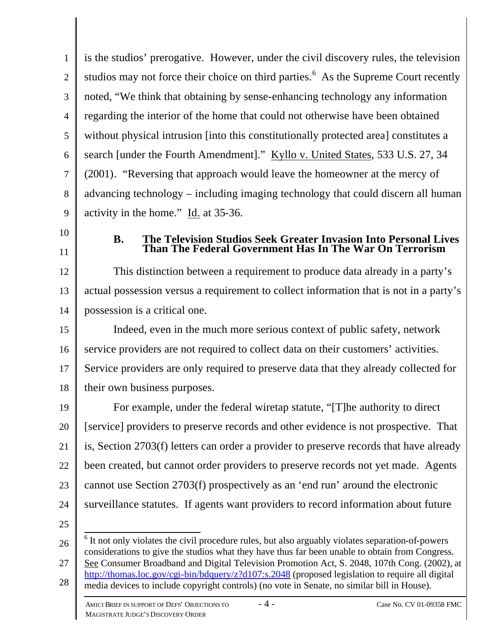1 2 3 4 5 6 7 8 9 is the studios' prerogative. However, under the civil discovery rules, the television studios may not force their choice on third parties.<sup>6</sup> As the Supreme Court recently noted, "We think that obtaining by sense-enhancing technology any information regarding the interior of the home that could not otherwise have been obtained without physical intrusion [into this constitutionally protected area] constitutes a search [under the Fourth Amendment]." Kyllo v. United States, 533 U.S. 27, 34 (2001). "Reversing that approach would leave the homeowner at the mercy of advancing technology – including imaging technology that could discern all human activity in the home." Id. at 35-36.

- 10
- 11

## **B. The Television Studios Seek Greater Invasion Into Personal Lives Than The Federal Government Has In The War On Terrorism**

12 13 14 This distinction between a requirement to produce data already in a party's actual possession versus a requirement to collect information that is not in a party's possession is a critical one.

15 16 17 18 Indeed, even in the much more serious context of public safety, network service providers are not required to collect data on their customers' activities. Service providers are only required to preserve data that they already collected for their own business purposes.

19 20 21 22 23 24 For example, under the federal wiretap statute, "[T]he authority to direct [service] providers to preserve records and other evidence is not prospective. That is, Section 2703(f) letters can order a provider to preserve records that have already been created, but cannot order providers to preserve records not yet made. Agents cannot use Section 2703(f) prospectively as an 'end run' around the electronic surveillance statutes. If agents want providers to record information about future

<sup>26</sup> 27 28 <sup>6</sup> It not only violates the civil procedure rules, but also arguably violates separation-of-powers considerations to give the studios what they have thus far been unable to obtain from Congress. See Consumer Broadband and Digital Television Promotion Act, S. 2048, 107th Cong. (2002), at http://thomas.loc.gov/cgi-bin/bdquery/z?d107:s.2048 (proposed legislation to require all digital media devices to include copyright controls) (no vote in Senate, no similar bill in House).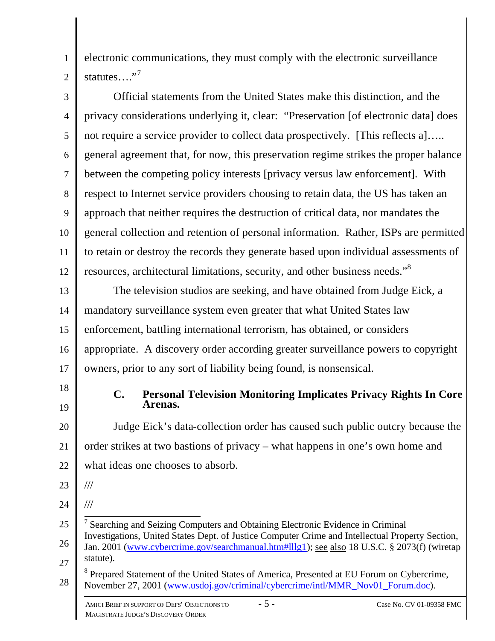electronic communications, they must comply with the electronic surveillance statutes…."<sup>7</sup>

3 4 5 6 7 8 9 10 11 12 Official statements from the United States make this distinction, and the privacy considerations underlying it, clear: "Preservation [of electronic data] does not require a service provider to collect data prospectively. [This reflects a]..... general agreement that, for now, this preservation regime strikes the proper balance between the competing policy interests [privacy versus law enforcement]. With respect to Internet service providers choosing to retain data, the US has taken an approach that neither requires the destruction of critical data, nor mandates the general collection and retention of personal information. Rather, ISPs are permitted to retain or destroy the records they generate based upon individual assessments of resources, architectural limitations, security, and other business needs."<sup>8</sup>

13 14 15 16 17 The television studios are seeking, and have obtained from Judge Eick, a mandatory surveillance system even greater that what United States law enforcement, battling international terrorism, has obtained, or considers appropriate. A discovery order according greater surveillance powers to copyright owners, prior to any sort of liability being found, is nonsensical.

18

1

2

19

## **C. Personal Television Monitoring Implicates Privacy Rights In Core Arenas.**

20 21 22 Judge Eick's data-collection order has caused such public outcry because the order strikes at two bastions of privacy – what happens in one's own home and what ideas one chooses to absorb.

23

///

///

24

25 26 27 28 <sup>7</sup> Searching and Seizing Computers and Obtaining Electronic Evidence in Criminal Investigations, United States Dept. of Justice Computer Crime and Intellectual Property Section, Jan. 2001 (www.cybercrime.gov/searchmanual.htm#lllg1); see also 18 U.S.C. § 2073(f) (wiretap statute). <sup>8</sup> Prepared Statement of the United States of America, Presented at EU Forum on Cybercrime, November 27, 2001 (www.usdoj.gov/criminal/cybercrime/intl/MMR\_Nov01\_Forum.doc).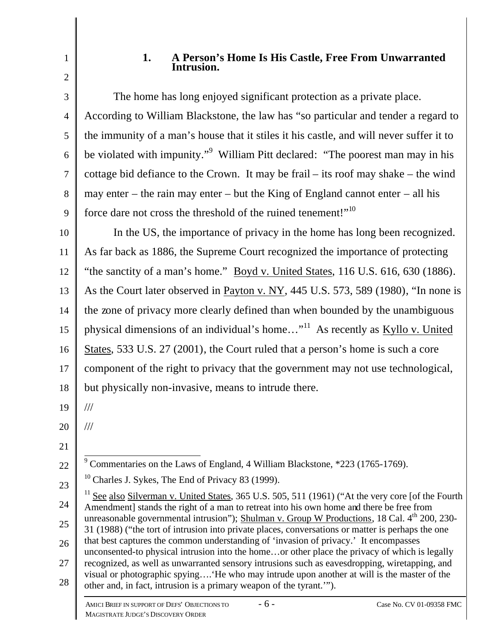2

# **1. A Person's Home Is His Castle, Free From Unwarranted Intrusion.**

3 4 5 6 7 8 9 The home has long enjoyed significant protection as a private place. According to William Blackstone, the law has "so particular and tender a regard to the immunity of a man's house that it stiles it his castle, and will never suffer it to be violated with impunity."<sup>9</sup> William Pitt declared: "The poorest man may in his cottage bid defiance to the Crown. It may be frail – its roof may shake – the wind may enter – the rain may enter – but the King of England cannot enter – all his force dare not cross the threshold of the ruined tenement!"<sup>10</sup>

10 11 12 13 14 15 16 17 18 In the US, the importance of privacy in the home has long been recognized. As far back as 1886, the Supreme Court recognized the importance of protecting "the sanctity of a man's home." Boyd v. United States, 116 U.S. 616, 630 (1886). As the Court later observed in Payton v. NY, 445 U.S. 573, 589 (1980), "In none is the zone of privacy more clearly defined than when bounded by the unambiguous physical dimensions of an individual's home..."<sup>11</sup> As recently as Kyllo v. United States, 533 U.S. 27 (2001), the Court ruled that a person's home is such a core component of the right to privacy that the government may not use technological, but physically non-invasive, means to intrude there.

19 ///

///

- 20
- 21

22 <sup>9</sup> Commentaries on the Laws of England, 4 William Blackstone, \*223 (1765-1769).

 $10$  Charles J. Sykes, The End of Privacy 83 (1999).

- 26 27 that best captures the common understanding of 'invasion of privacy.' It encompasses unconsented-to physical intrusion into the home…or other place the privacy of which is legally recognized, as well as unwarranted sensory intrusions such as eavesdropping, wiretapping, and
- 28 visual or photographic spying….'He who may intrude upon another at will is the master of the other and, in fact, intrusion is a primary weapon of the tyrant.'").

<sup>23</sup> 24 25  $11$  See also Silverman v. United States, 365 U.S. 505, 511 (1961) ("At the very core [of the Fourth Amendment] stands the right of a man to retreat into his own home and there be free from unreasonable governmental intrusion"); Shulman v. Group W Productions, 18 Cal. 4<sup>th</sup> 200, 230-31 (1988) ("the tort of intrusion into private places, conversations or matter is perhaps the one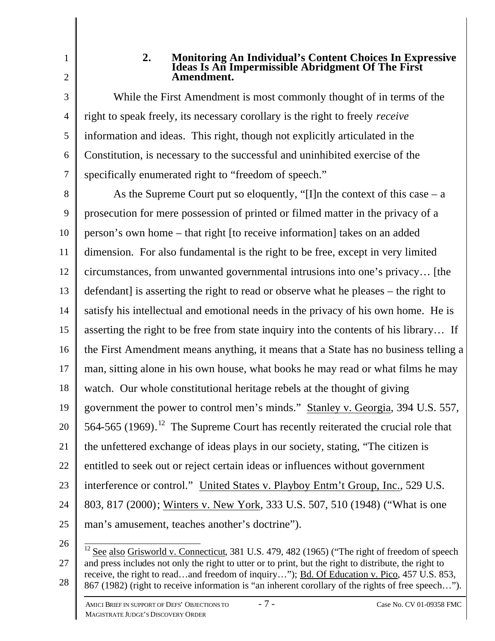3

4

5

6

7

1

### **2. Monitoring An Individual's Content Choices In Expressive Ideas Is An Impermissible Abridgment Of The First Amendment.**

While the First Amendment is most commonly thought of in terms of the right to speak freely, its necessary corollary is the right to freely *receive* information and ideas. This right, though not explicitly articulated in the Constitution, is necessary to the successful and uninhibited exercise of the specifically enumerated right to "freedom of speech."

8 9 10 11 12 13 14 15 16 17 18 19 20 21 22 23 24 25 As the Supreme Court put so eloquently, "[I]n the context of this case  $- a$ prosecution for mere possession of printed or filmed matter in the privacy of a person's own home – that right [to receive information] takes on an added dimension. For also fundamental is the right to be free, except in very limited circumstances, from unwanted governmental intrusions into one's privacy… [the defendant] is asserting the right to read or observe what he pleases – the right to satisfy his intellectual and emotional needs in the privacy of his own home. He is asserting the right to be free from state inquiry into the contents of his library… If the First Amendment means anything, it means that a State has no business telling a man, sitting alone in his own house, what books he may read or what films he may watch. Our whole constitutional heritage rebels at the thought of giving government the power to control men's minds." Stanley v. Georgia, 394 U.S. 557, 564-565 (1969).<sup>12</sup> The Supreme Court has recently reiterated the crucial role that the unfettered exchange of ideas plays in our society, stating, "The citizen is entitled to seek out or reject certain ideas or influences without government interference or control." United States v. Playboy Entm't Group, Inc., 529 U.S. 803, 817 (2000); Winters v. New York, 333 U.S. 507, 510 (1948) ("What is one man's amusement, teaches another's doctrine").

26

27 28  $\overline{1}$  $12$  See also Grisworld v. Connecticut, 381 U.S. 479, 482 (1965) ("The right of freedom of speech and press includes not only the right to utter or to print, but the right to distribute, the right to receive, the right to read...and freedom of inquiry..."); Bd. Of Education v. Pico, 457 U.S. 853, 867 (1982) (right to receive information is "an inherent corollary of the rights of free speech…").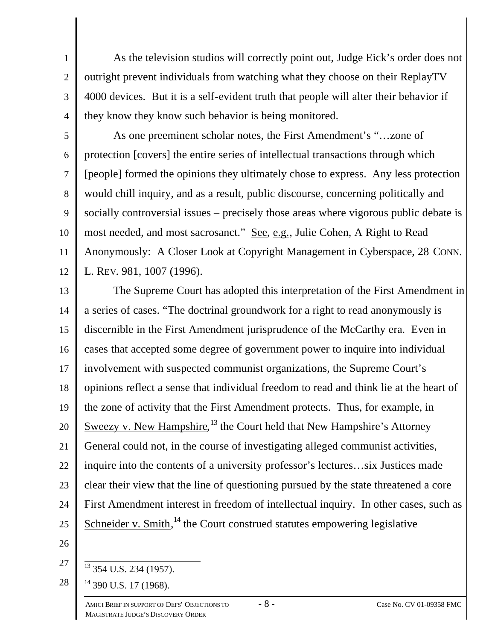As the television studios will correctly point out, Judge Eick's order does not outright prevent individuals from watching what they choose on their ReplayTV 4000 devices. But it is a self-evident truth that people will alter their behavior if they know they know such behavior is being monitored.

5 6 7 8 9 10 11 12 As one preeminent scholar notes, the First Amendment's "…zone of protection [covers] the entire series of intellectual transactions through which [people] formed the opinions they ultimately chose to express. Any less protection would chill inquiry, and as a result, public discourse, concerning politically and socially controversial issues – precisely those areas where vigorous public debate is most needed, and most sacrosanct." See, e.g., Julie Cohen, A Right to Read Anonymously: A Closer Look at Copyright Management in Cyberspace, 28 CONN. L. REV. 981, 1007 (1996).

13 14 15 16 17 18 19 20 21 22 23 24 25 The Supreme Court has adopted this interpretation of the First Amendment in a series of cases. "The doctrinal groundwork for a right to read anonymously is discernible in the First Amendment jurisprudence of the McCarthy era. Even in cases that accepted some degree of government power to inquire into individual involvement with suspected communist organizations, the Supreme Court's opinions reflect a sense that individual freedom to read and think lie at the heart of the zone of activity that the First Amendment protects. Thus, for example, in Sweezy v. New Hampshire, <sup>13</sup> the Court held that New Hampshire's Attorney General could not, in the course of investigating alleged communist activities, inquire into the contents of a university professor's lectures…six Justices made clear their view that the line of questioning pursued by the state threatened a core First Amendment interest in freedom of intellectual inquiry. In other cases, such as Schneider v. Smith,  $14$  the Court construed statutes empowering legislative

26

27

28

1

2

3

4

 $\overline{1}$ <sup>13</sup> 354 U.S. 234 (1957).

<sup>14</sup> 390 U.S. 17 (1968).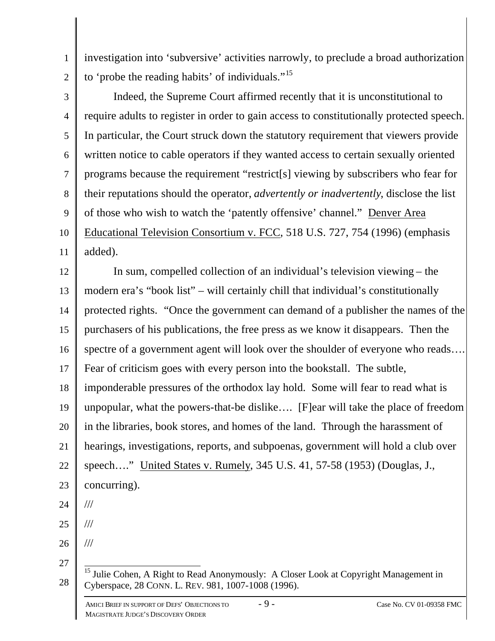1 investigation into 'subversive' activities narrowly, to preclude a broad authorization to 'probe the reading habits' of individuals."<sup>15</sup>

2 3

4 5 6 7 8 9 10 11 Indeed, the Supreme Court affirmed recently that it is unconstitutional to require adults to register in order to gain access to constitutionally protected speech. In particular, the Court struck down the statutory requirement that viewers provide written notice to cable operators if they wanted access to certain sexually oriented programs because the requirement "restrict[s] viewing by subscribers who fear for their reputations should the operator, *advertently or inadvertently*, disclose the list of those who wish to watch the 'patently offensive' channel." Denver Area Educational Television Consortium v. FCC, 518 U.S. 727, 754 (1996) (emphasis added).

12 13 14 15 16 17 18 19 20 21 22 23 24 25 26 27 28 In sum, compelled collection of an individual's television viewing – the modern era's "book list" – will certainly chill that individual's constitutionally protected rights. "Once the government can demand of a publisher the names of the purchasers of his publications, the free press as we know it disappears. Then the spectre of a government agent will look over the shoulder of everyone who reads.... Fear of criticism goes with every person into the bookstall. The subtle, imponderable pressures of the orthodox lay hold. Some will fear to read what is unpopular, what the powers-that-be dislike…. [F]ear will take the place of freedom in the libraries, book stores, and homes of the land. Through the harassment of hearings, investigations, reports, and subpoenas, government will hold a club over speech…." United States v. Rumely, 345 U.S. 41, 57-58 (1953) (Douglas, J., concurring). /// /// ///  $\overline{1}$  $15$  Julie Cohen, A Right to Read Anonymously: A Closer Look at Copyright Management in Cyberspace, 28 CONN. L. REV. 981, 1007-1008 (1996).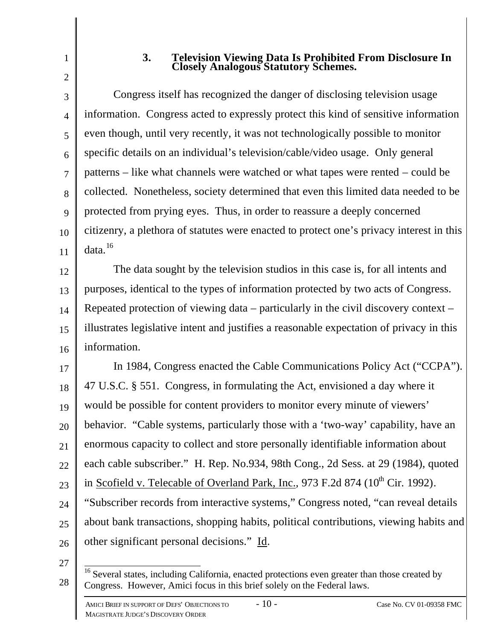## **3. Television Viewing Data Is Prohibited From Disclosure In Closely Analogous Statutory Schemes.**

3 4 5 6 7 8 9 10 11 Congress itself has recognized the danger of disclosing television usage information. Congress acted to expressly protect this kind of sensitive information even though, until very recently, it was not technologically possible to monitor specific details on an individual's television/cable/video usage. Only general patterns – like what channels were watched or what tapes were rented – could be collected. Nonetheless, society determined that even this limited data needed to be protected from prying eyes. Thus, in order to reassure a deeply concerned citizenry, a plethora of statutes were enacted to protect one's privacy interest in this data.<sup>16</sup>

12 13 14 15 16 The data sought by the television studios in this case is, for all intents and purposes, identical to the types of information protected by two acts of Congress. Repeated protection of viewing data – particularly in the civil discovery context – illustrates legislative intent and justifies a reasonable expectation of privacy in this information.

17 18 19 20 21 22 23 24 25 26 In 1984, Congress enacted the Cable Communications Policy Act ("CCPA"). 47 U.S.C. § 551. Congress, in formulating the Act, envisioned a day where it would be possible for content providers to monitor every minute of viewers' behavior. "Cable systems, particularly those with a 'two-way' capability, have an enormous capacity to collect and store personally identifiable information about each cable subscriber." H. Rep. No.934, 98th Cong., 2d Sess. at 29 (1984), quoted in Scofield v. Telecable of Overland Park, Inc.,  $973$  F.2d  $874$  ( $10<sup>th</sup>$  Cir. 1992). "Subscriber records from interactive systems," Congress noted, "can reveal details about bank transactions, shopping habits, political contributions, viewing habits and other significant personal decisions." Id.

<sup>28</sup>  $\overline{1}$ <sup>16</sup> Several states, including California, enacted protections even greater than those created by Congress. However, Amici focus in this brief solely on the Federal laws.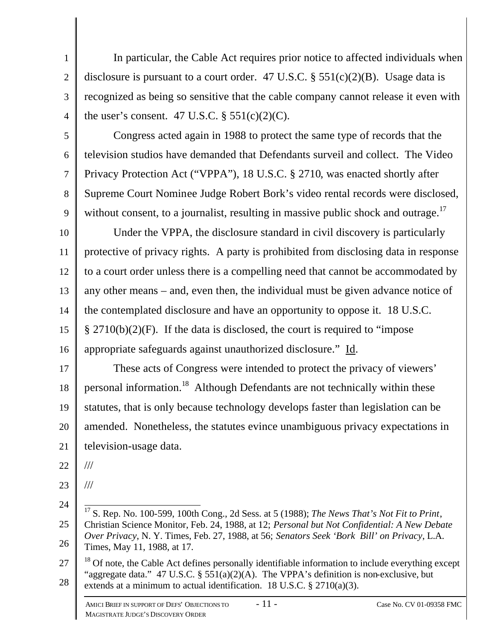1 2 3 4 In particular, the Cable Act requires prior notice to affected individuals when disclosure is pursuant to a court order. 47 U.S.C.  $\S$  551(c)(2)(B). Usage data is recognized as being so sensitive that the cable company cannot release it even with the user's consent. 47 U.S.C.  $\S$  551(c)(2)(C).

5 6 7 8 9 Congress acted again in 1988 to protect the same type of records that the television studios have demanded that Defendants surveil and collect. The Video Privacy Protection Act ("VPPA"), 18 U.S.C. § 2710, was enacted shortly after Supreme Court Nominee Judge Robert Bork's video rental records were disclosed, without consent, to a journalist, resulting in massive public shock and outrage.<sup>17</sup>

10 11 12 13 14 15 16 Under the VPPA, the disclosure standard in civil discovery is particularly protective of privacy rights. A party is prohibited from disclosing data in response to a court order unless there is a compelling need that cannot be accommodated by any other means – and, even then, the individual must be given advance notice of the contemplated disclosure and have an opportunity to oppose it. 18 U.S.C. § 2710(b)(2)(F). If the data is disclosed, the court is required to "impose appropriate safeguards against unauthorized disclosure." Id.

17 18 19 20 21 These acts of Congress were intended to protect the privacy of viewers' personal information.<sup>18</sup> Although Defendants are not technically within these statutes, that is only because technology develops faster than legislation can be amended. Nonetheless, the statutes evince unambiguous privacy expectations in television-usage data.

22 ///

23

///

- 24 25 26  $\overline{1}$ <sup>17</sup> S. Rep. No. 100-599, 100th Cong., 2d Sess. at 5 (1988); *The News That's Not Fit to Print*, Christian Science Monitor, Feb. 24, 1988, at 12; *Personal but Not Confidential: A New Debate Over Privacy*, N. Y. Times, Feb. 27, 1988, at 56; *Senators Seek 'Bork Bill' on Privacy*, L.A. Times, May 11, 1988, at 17.
- 27 28  $18$  Of note, the Cable Act defines personally identifiable information to include everything except "aggregate data." 47 U.S.C. § 551(a)(2)(A). The VPPA's definition is non-exclusive, but extends at a minimum to actual identification. 18 U.S.C.  $\S 2710(a)(3)$ .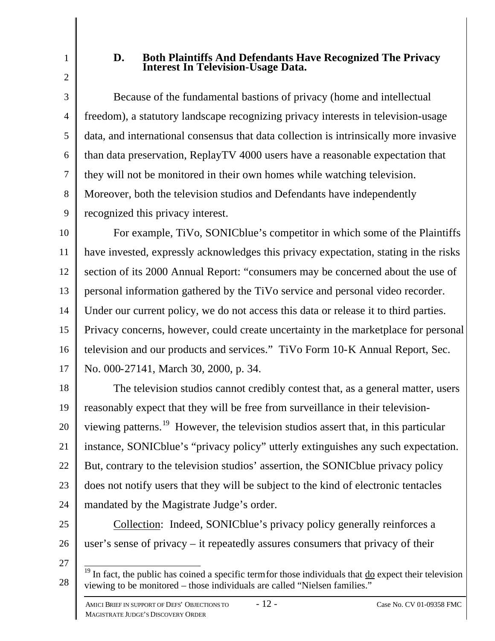1

# **D. Both Plaintiffs And Defendants Have Recognized The Privacy Interest In Television-Usage Data.**

3 4 5 6 7 8 9 Because of the fundamental bastions of privacy (home and intellectual freedom), a statutory landscape recognizing privacy interests in television-usage data, and international consensus that data collection is intrinsically more invasive than data preservation, ReplayTV 4000 users have a reasonable expectation that they will not be monitored in their own homes while watching television. Moreover, both the television studios and Defendants have independently recognized this privacy interest.

10 11 12 13 14 15 16 17 For example, TiVo, SONICblue's competitor in which some of the Plaintiffs have invested, expressly acknowledges this privacy expectation, stating in the risks section of its 2000 Annual Report: "consumers may be concerned about the use of personal information gathered by the TiVo service and personal video recorder. Under our current policy, we do not access this data or release it to third parties. Privacy concerns, however, could create uncertainty in the marketplace for personal television and our products and services." TiVo Form 10-K Annual Report, Sec. No. 000-27141, March 30, 2000, p. 34.

18 19 20 21 22 23 24 The television studios cannot credibly contest that, as a general matter, users reasonably expect that they will be free from surveillance in their televisionviewing patterns.<sup>19</sup> However, the television studios assert that, in this particular instance, SONICblue's "privacy policy" utterly extinguishes any such expectation. But, contrary to the television studios' assertion, the SONICblue privacy policy does not notify users that they will be subject to the kind of electronic tentacles mandated by the Magistrate Judge's order.

- 25
- 26

Collection: Indeed, SONICblue's privacy policy generally reinforces a user's sense of privacy – it repeatedly assures consumers that privacy of their

27

 $\overline{1}$  $19$  In fact, the public has coined a specific term for those individuals that  $\underline{do}$  expect their television viewing to be monitored – those individuals are called "Nielsen families."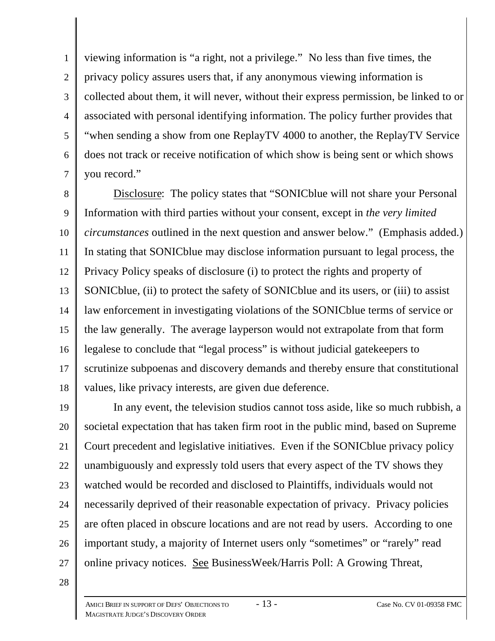1 2 3 4 5 6 7 viewing information is "a right, not a privilege." No less than five times, the privacy policy assures users that, if any anonymous viewing information is collected about them, it will never, without their express permission, be linked to or associated with personal identifying information. The policy further provides that "when sending a show from one ReplayTV 4000 to another, the ReplayTV Service does not track or receive notification of which show is being sent or which shows you record."

8 9 10 11 12 13 14 15 16 17 18 Disclosure: The policy states that "SONICblue will not share your Personal Information with third parties without your consent, except in *the very limited circumstances* outlined in the next question and answer below." (Emphasis added.) In stating that SONICblue may disclose information pursuant to legal process, the Privacy Policy speaks of disclosure (i) to protect the rights and property of SONICblue, (ii) to protect the safety of SONICblue and its users, or (iii) to assist law enforcement in investigating violations of the SONICblue terms of service or the law generally. The average layperson would not extrapolate from that form legalese to conclude that "legal process" is without judicial gatekeepers to scrutinize subpoenas and discovery demands and thereby ensure that constitutional values, like privacy interests, are given due deference.

19 20 21 22 23 24 25 26 27 In any event, the television studios cannot toss aside, like so much rubbish, a societal expectation that has taken firm root in the public mind, based on Supreme Court precedent and legislative initiatives. Even if the SONICblue privacy policy unambiguously and expressly told users that every aspect of the TV shows they watched would be recorded and disclosed to Plaintiffs, individuals would not necessarily deprived of their reasonable expectation of privacy. Privacy policies are often placed in obscure locations and are not read by users. According to one important study, a majority of Internet users only "sometimes" or "rarely" read online privacy notices. See BusinessWeek/Harris Poll: A Growing Threat,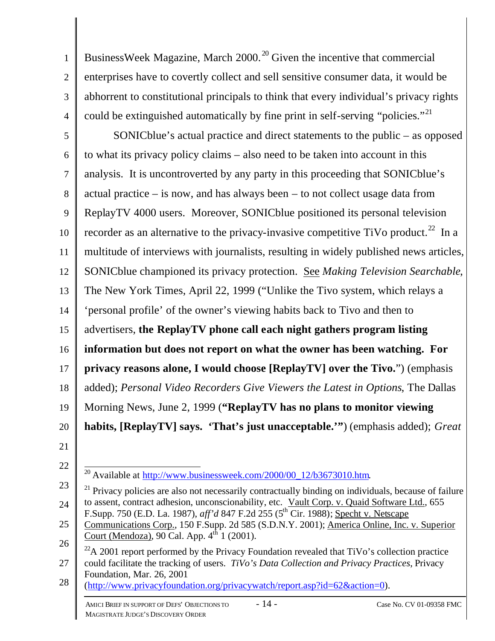2 3 4 BusinessWeek Magazine, March 2000. <sup>20</sup> Given the incentive that commercial enterprises have to covertly collect and sell sensitive consumer data, it would be abhorrent to constitutional principals to think that every individual's privacy rights could be extinguished automatically by fine print in self-serving "policies."<sup>21</sup>

5 6 7 8 9 10 11 12 13 14 15 16 17 18 19 20 21 SONICblue's actual practice and direct statements to the public – as opposed to what its privacy policy claims – also need to be taken into account in this analysis. It is uncontroverted by any party in this proceeding that SONICblue's actual practice – is now, and has always been – to not collect usage data from ReplayTV 4000 users. Moreover, SONICblue positioned its personal television recorder as an alternative to the privacy-invasive competitive TiVo product.<sup>22</sup> In a multitude of interviews with journalists, resulting in widely published news articles, SONICblue championed its privacy protection. See *Making Television Searchable*, The New York Times, April 22, 1999 ("Unlike the Tivo system, which relays a 'personal profile' of the owner's viewing habits back to Tivo and then to advertisers, **the ReplayTV phone call each night gathers program listing information but does not report on what the owner has been watching. For privacy reasons alone, I would choose [ReplayTV] over the Tivo.**") (emphasis added); *Personal Video Recorders Give Viewers the Latest in Options*, The Dallas Morning News, June 2, 1999 (**"ReplayTV has no plans to monitor viewing habits, [ReplayTV] says. 'That's just unacceptable.'"**) (emphasis added); *Great* 

22

1

28 (http://www.privacyfoundation.org/privacywatch/report.asp?id=62&action=0).

 $\overline{\phantom{a}}$ <sup>20</sup> Available at http://www.businessweek.com/2000/00\_12/b3673010.htm.

<sup>23</sup> 24  $21$  Privacy policies are also not necessarily contractually binding on individuals, because of failure to assent, contract adhesion, unconscionability, etc. Vault Corp. v. Quaid Software Ltd., 655 F.Supp. 750 (E.D. La. 1987), *aff'd* 847 F.2d 255 (5<sup>th</sup> Cir. 1988); <u>Specht v. Netscape</u>

<sup>25</sup> 26 Communications Corp., 150 F.Supp. 2d 585 (S.D.N.Y. 2001); America Online, Inc. v. Superior Court (Mendoza), 90 Cal. App.  $4<sup>th</sup> 1$  (2001).

<sup>27</sup>  $^{22}$ A 2001 report performed by the Privacy Foundation revealed that TiVo's collection practice could facilitate the tracking of users. *TiVo's Data Collection and Privacy Practices*, Privacy Foundation, Mar. 26, 2001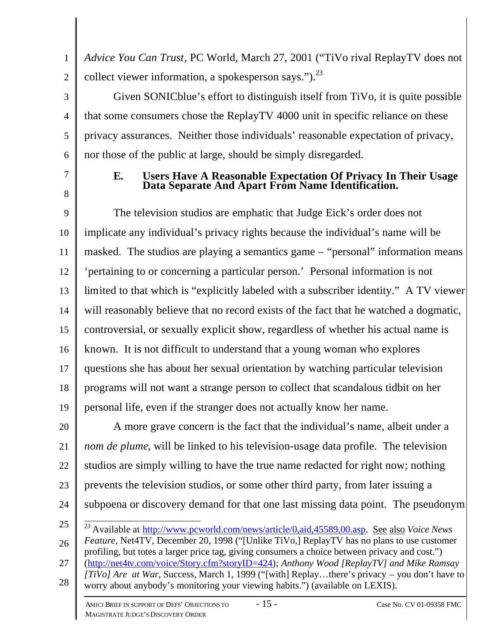2 *Advice You Can Trust*, PC World, March 27, 2001 ("TiVo rival ReplayTV does not collect viewer information, a spokesperson says." $)^{23}$ 

Given SONICblue's effort to distinguish itself from TiVo, it is quite possible that some consumers chose the ReplayTV 4000 unit in specific reliance on these privacy assurances. Neither those individuals' reasonable expectation of privacy, nor those of the public at large, should be simply disregarded.

7

8

1

3

4

5

6

# **E. Users Have A Reasonable Expectation Of Privacy In Their Usage Data Separate And Apart From Name Identification.**

9 10 11 12 13 14 15 16 17 18 19 The television studios are emphatic that Judge Eick's order does not implicate any individual's privacy rights because the individual's name will be masked. The studios are playing a semantics game – "personal" information means 'pertaining to or concerning a particular person.' Personal information is not limited to that which is "explicitly labeled with a subscriber identity." A TV viewer will reasonably believe that no record exists of the fact that he watched a dogmatic, controversial, or sexually explicit show, regardless of whether his actual name is known. It is not difficult to understand that a young woman who explores questions she has about her sexual orientation by watching particular television programs will not want a strange person to collect that scandalous tidbit on her personal life, even if the stranger does not actually know her name.

20 21 22 23 24 A more grave concern is the fact that the individual's name, albeit under a *nom de plume*, will be linked to his television-usage data profile. The television studios are simply willing to have the true name redacted for right now; nothing prevents the television studios, or some other third party, from later issuing a subpoena or discovery demand for that one last missing data point. The pseudonym

25 26 27 28  $\overline{a}$ <sup>23</sup> Available at http://www.pcworld.com/news/article/0,aid,45589,00.asp. See also *Voice News Feature*, Net4TV, December 20, 1998 ("[Unlike TiVo,] ReplayTV has no plans to use customer profiling, but totes a larger price tag, giving consumers a choice between privacy and cost.") (http://net4tv.com/voice/Story.cfm?storyID=424); *Anthony Wood [ReplayTV] and Mike Ramsay [TiVo] Are at War*, Success, March 1, 1999 ("[with] Replay…there's privacy – you don't have to worry about anybody's monitoring your viewing habits.") (available on LEXIS).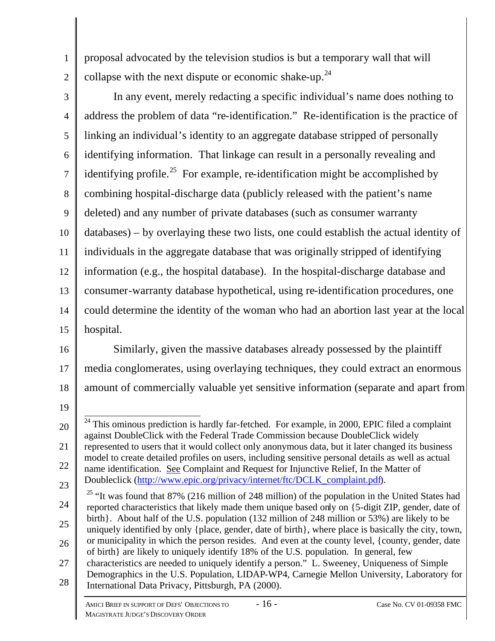proposal advocated by the television studios is but a temporary wall that will collapse with the next dispute or economic shake-up.<sup>24</sup>

- 3 4 5 6 7 8 9 10 11 12 13 14 15 In any event, merely redacting a specific individual's name does nothing to address the problem of data "re-identification." Re-identification is the practice of linking an individual's identity to an aggregate database stripped of personally identifying information. That linkage can result in a personally revealing and identifying profile.<sup>25</sup> For example, re-identification might be accomplished by combining hospital-discharge data (publicly released with the patient's name deleted) and any number of private databases (such as consumer warranty databases) – by overlaying these two lists, one could establish the actual identity of individuals in the aggregate database that was originally stripped of identifying information (e.g., the hospital database). In the hospital-discharge database and consumer-warranty database hypothetical, using re-identification procedures, one could determine the identity of the woman who had an abortion last year at the local hospital.
- 16 17 18 Similarly, given the massive databases already possessed by the plaintiff media conglomerates, using overlaying techniques, they could extract an enormous amount of commercially valuable yet sensitive information (separate and apart from
- 19

1

- 22 23 model to create detailed profiles on users, including sensitive personal details as well as actual name identification. See Complaint and Request for Injunctive Relief, In the Matter of Doubleclick (http://www.epic.org/privacy/internet/ftc/DCLK\_complaint.pdf).
- 24 25 26 27 <sup>25</sup> "It was found that 87% (216 million of 248 million) of the population in the United States had reported characteristics that likely made them unique based only on {5-digit ZIP, gender, date of birth}. About half of the U.S. population (132 million of 248 million or 53%) are likely to be uniquely identified by only {place, gender, date of birth}, where place is basically the city, town, or municipality in which the person resides. And even at the county level, {county, gender, date of birth} are likely to uniquely identify 18% of the U.S. population. In general, few characteristics are needed to uniquely identify a person." L. Sweeney, Uniqueness of Simple
- 28 Demographics in the U.S. Population, LIDAP-WP4, Carnegie Mellon University, Laboratory for International Data Privacy, Pittsburgh, PA (2000).

<sup>20</sup> 21  $\overline{\phantom{a}}$  $24$  This ominous prediction is hardly far-fetched. For example, in 2000, EPIC filed a complaint against DoubleClick with the Federal Trade Commission because DoubleClick widely represented to users that it would collect only anonymous data, but it later changed its business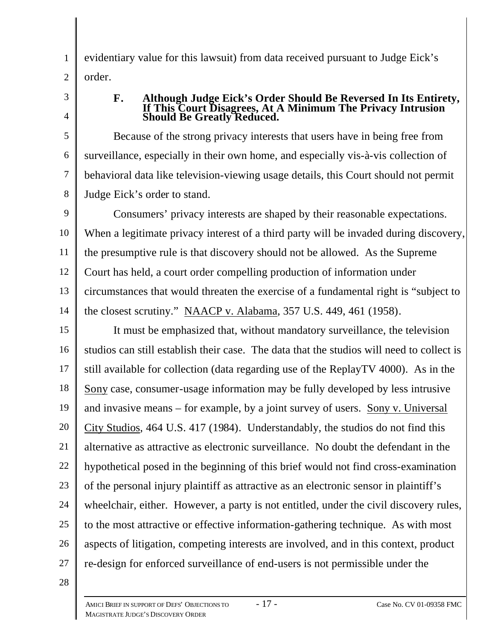evidentiary value for this lawsuit) from data received pursuant to Judge Eick's order.

3

4

5

6

7

8

1

2

#### **F. Although Judge Eick's Order Should Be Reversed In Its Entirety, If This Court Disagrees, At A Minimum The Privacy Intrusion Should Be Greatly Reduced.**

Because of the strong privacy interests that users have in being free from surveillance, especially in their own home, and especially vis-à-vis collection of behavioral data like television-viewing usage details, this Court should not permit Judge Eick's order to stand.

9 10 11 12 13 14 Consumers' privacy interests are shaped by their reasonable expectations. When a legitimate privacy interest of a third party will be invaded during discovery, the presumptive rule is that discovery should not be allowed. As the Supreme Court has held, a court order compelling production of information under circumstances that would threaten the exercise of a fundamental right is "subject to the closest scrutiny." NAACP v. Alabama, 357 U.S. 449, 461 (1958).

15 16 17 18 19 20 21 22 23 24 25 26 27 It must be emphasized that, without mandatory surveillance, the television studios can still establish their case. The data that the studios will need to collect is still available for collection (data regarding use of the ReplayTV 4000). As in the Sony case, consumer-usage information may be fully developed by less intrusive and invasive means – for example, by a joint survey of users. Sony v. Universal City Studios, 464 U.S. 417 (1984). Understandably, the studios do not find this alternative as attractive as electronic surveillance. No doubt the defendant in the hypothetical posed in the beginning of this brief would not find cross-examination of the personal injury plaintiff as attractive as an electronic sensor in plaintiff's wheelchair, either. However, a party is not entitled, under the civil discovery rules, to the most attractive or effective information-gathering technique. As with most aspects of litigation, competing interests are involved, and in this context, product re-design for enforced surveillance of end-users is not permissible under the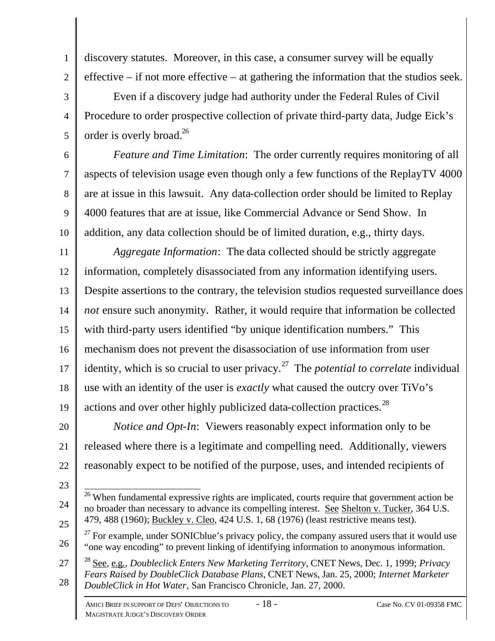5

1

discovery statutes. Moreover, in this case, a consumer survey will be equally effective – if not more effective – at gathering the information that the studios seek.

Even if a discovery judge had authority under the Federal Rules of Civil Procedure to order prospective collection of private third-party data, Judge Eick's order is overly broad.<sup>26</sup>

6 7 8 9 10 *Feature and Time Limitation*: The order currently requires monitoring of all aspects of television usage even though only a few functions of the ReplayTV 4000 are at issue in this lawsuit. Any data-collection order should be limited to Replay 4000 features that are at issue, like Commercial Advance or Send Show. In addition, any data collection should be of limited duration, e.g., thirty days.

11 12 13 14 15 16 17 18 19 *Aggregate Information*: The data collected should be strictly aggregate information, completely disassociated from any information identifying users. Despite assertions to the contrary, the television studios requested surveillance does *not* ensure such anonymity. Rather, it would require that information be collected with third-party users identified "by unique identification numbers." This mechanism does not prevent the disassociation of use information from user identity, which is so crucial to user privacy.<sup>27</sup> The *potential to correlate* individual use with an identity of the user is *exactly* what caused the outcry over TiVo's actions and over other highly publicized data-collection practices.<sup>28</sup>

20 21 22 *Notice and Opt-In*: Viewers reasonably expect information only to be released where there is a legitimate and compelling need. Additionally, viewers reasonably expect to be notified of the purpose, uses, and intended recipients of

23

24

 $\overline{a}$  $26$  When fundamental expressive rights are implicated, courts require that government action be no broader than necessary to advance its compelling interest. See Shelton v. Tucker, 364 U.S. 479, 488 (1960); Buckley v. Cleo, 424 U.S. 1, 68 (1976) (least restrictive means test).

<sup>26</sup>  $^{27}$  For example, under SONICblue's privacy policy, the company assured users that it would use "one way encoding" to prevent linking of identifying information to anonymous information.

<sup>27</sup> 28 <sup>28</sup> See, e.g., *Doubleclick Enters New Marketing Territory*, CNET News, Dec. 1, 1999; *Privacy Fears Raised by DoubleClick Database Plans*, CNET News, Jan. 25, 2000; *Internet Marketer DoubleClick in Hot Water*, San Francisco Chronicle, Jan. 27, 2000.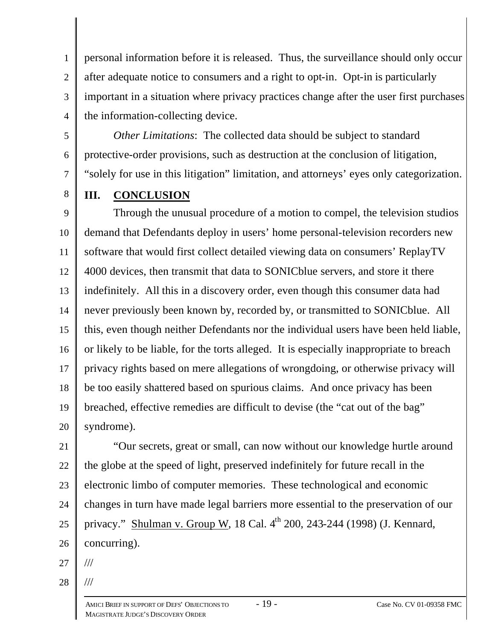1 2 3 4 personal information before it is released. Thus, the surveillance should only occur after adequate notice to consumers and a right to opt-in. Opt-in is particularly important in a situation where privacy practices change after the user first purchases the information-collecting device.

5 6 7 *Other Limitations*: The collected data should be subject to standard protective-order provisions, such as destruction at the conclusion of litigation, "solely for use in this litigation" limitation, and attorneys' eyes only categorization.

8

# **III. CONCLUSION**

9 10 11 12 13 14 15 16 17 18 19 20 Through the unusual procedure of a motion to compel, the television studios demand that Defendants deploy in users' home personal-television recorders new software that would first collect detailed viewing data on consumers' ReplayTV 4000 devices, then transmit that data to SONICblue servers, and store it there indefinitely. All this in a discovery order, even though this consumer data had never previously been known by, recorded by, or transmitted to SONICblue. All this, even though neither Defendants nor the individual users have been held liable, or likely to be liable, for the torts alleged. It is especially inappropriate to breach privacy rights based on mere allegations of wrongdoing, or otherwise privacy will be too easily shattered based on spurious claims. And once privacy has been breached, effective remedies are difficult to devise (the "cat out of the bag" syndrome).

21 22 23 24 25 26 "Our secrets, great or small, can now without our knowledge hurtle around the globe at the speed of light, preserved indefinitely for future recall in the electronic limbo of computer memories. These technological and economic changes in turn have made legal barriers more essential to the preservation of our privacy." Shulman v. Group W, 18 Cal. 4<sup>th</sup> 200, 243-244 (1998) (J. Kennard, concurring).

27 ///

28

///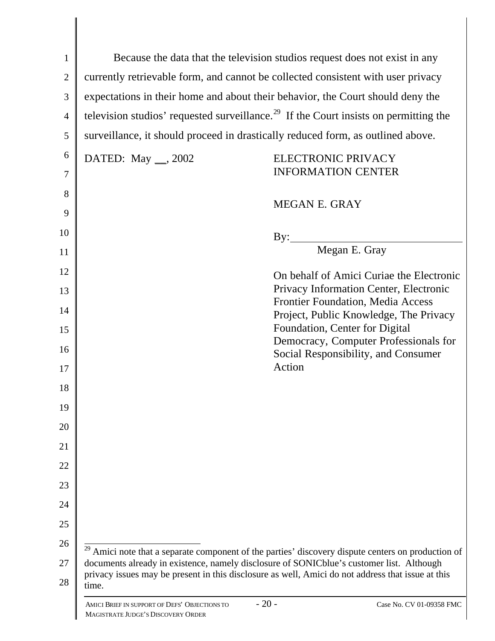| $\mathbf{1}$   | Because the data that the television studios request does not exist in any       |                                                                                                                                                                                               |  |  |  |
|----------------|----------------------------------------------------------------------------------|-----------------------------------------------------------------------------------------------------------------------------------------------------------------------------------------------|--|--|--|
| $\overline{2}$ | currently retrievable form, and cannot be collected consistent with user privacy |                                                                                                                                                                                               |  |  |  |
| 3              | expectations in their home and about their behavior, the Court should deny the   |                                                                                                                                                                                               |  |  |  |
| $\overline{4}$ |                                                                                  | television studios' requested surveillance. <sup>29</sup> If the Court insists on permitting the                                                                                              |  |  |  |
| 5              | surveillance, it should proceed in drastically reduced form, as outlined above.  |                                                                                                                                                                                               |  |  |  |
| 6              | DATED: May __, 2002                                                              | ELECTRONIC PRIVACY                                                                                                                                                                            |  |  |  |
| $\tau$         |                                                                                  | <b>INFORMATION CENTER</b>                                                                                                                                                                     |  |  |  |
| 8              |                                                                                  | MEGAN E. GRAY                                                                                                                                                                                 |  |  |  |
| 9              |                                                                                  |                                                                                                                                                                                               |  |  |  |
| 10             |                                                                                  | By: $\qquad \qquad$                                                                                                                                                                           |  |  |  |
| 11             |                                                                                  | Megan E. Gray                                                                                                                                                                                 |  |  |  |
| 12             |                                                                                  | On behalf of Amici Curiae the Electronic                                                                                                                                                      |  |  |  |
| 13             |                                                                                  | Privacy Information Center, Electronic<br>Frontier Foundation, Media Access                                                                                                                   |  |  |  |
| 14             |                                                                                  | Project, Public Knowledge, The Privacy                                                                                                                                                        |  |  |  |
| 15             |                                                                                  | Foundation, Center for Digital<br>Democracy, Computer Professionals for                                                                                                                       |  |  |  |
| 16             |                                                                                  | Social Responsibility, and Consumer                                                                                                                                                           |  |  |  |
| 17             |                                                                                  | Action                                                                                                                                                                                        |  |  |  |
| 18             |                                                                                  |                                                                                                                                                                                               |  |  |  |
| 19             |                                                                                  |                                                                                                                                                                                               |  |  |  |
| 20             |                                                                                  |                                                                                                                                                                                               |  |  |  |
| 21             |                                                                                  |                                                                                                                                                                                               |  |  |  |
| 22             |                                                                                  |                                                                                                                                                                                               |  |  |  |
| 23             |                                                                                  |                                                                                                                                                                                               |  |  |  |
| 24             |                                                                                  |                                                                                                                                                                                               |  |  |  |
| 25             |                                                                                  |                                                                                                                                                                                               |  |  |  |
| 26             |                                                                                  | Amici note that a separate component of the parties' discovery dispute centers on production of                                                                                               |  |  |  |
| 27             |                                                                                  | documents already in existence, namely disclosure of SONICblue's customer list. Although<br>privacy issues may be present in this disclosure as well, Amici do not address that issue at this |  |  |  |
| 28             | time.                                                                            |                                                                                                                                                                                               |  |  |  |
|                | AMICI BRIEF IN SUPPORT OF DEFS' OBJECTIONS TO                                    | $-20-$<br>Case No. CV 01-09358 FMC                                                                                                                                                            |  |  |  |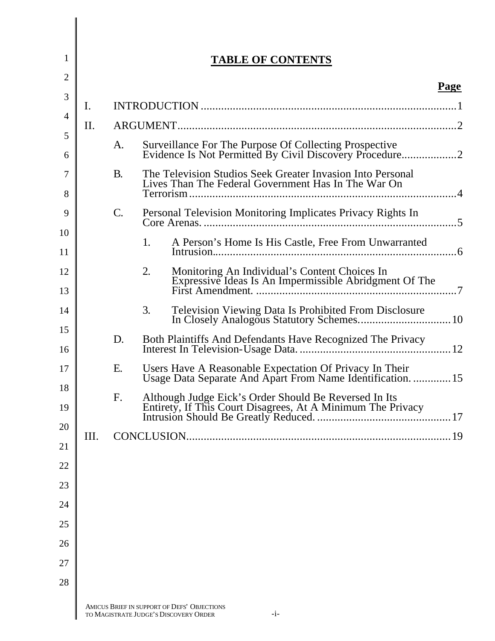| 1 |      |           |    | <b>TABLE OF CONTENTS</b>                                                                                               |      |
|---|------|-----------|----|------------------------------------------------------------------------------------------------------------------------|------|
|   |      |           |    |                                                                                                                        | Page |
|   | I.   |           |    |                                                                                                                        |      |
|   | Π.   |           |    |                                                                                                                        |      |
|   |      | A.        |    | Surveillance For The Purpose Of Collecting Prospective                                                                 |      |
|   |      | <b>B.</b> |    | The Television Studios Seek Greater Invasion Into Personal<br>Lives Than The Federal Government Has In The War On      |      |
|   |      | C.        |    | Personal Television Monitoring Implicates Privacy Rights In                                                            |      |
|   |      |           | 1. | A Person's Home Is His Castle, Free From Unwarranted                                                                   |      |
|   |      |           | 2. | Monitoring An Individual's Content Choices In<br>Expressive Ideas Is An Impermissible Abridgment Of The                |      |
|   |      |           | 3. | <b>Television Viewing Data Is Prohibited From Disclosure</b>                                                           |      |
|   |      | D.        |    | Both Plaintiffs And Defendants Have Recognized The Privacy                                                             |      |
|   |      | Ε.        |    | Users Have A Reasonable Expectation Of Privacy In Their<br>Usage Data Separate And Apart From Name Identification.  15 |      |
|   |      | F.        |    | Although Judge Eick's Order Should Be Reversed In Its                                                                  |      |
|   | III. |           |    |                                                                                                                        |      |
|   |      |           |    |                                                                                                                        |      |
|   |      |           |    |                                                                                                                        |      |
|   |      |           |    |                                                                                                                        |      |
|   |      |           |    |                                                                                                                        |      |
|   |      |           |    |                                                                                                                        |      |
|   |      |           |    |                                                                                                                        |      |
|   |      |           |    |                                                                                                                        |      |
|   |      |           |    | AMICUS BRIEF IN SUPPORT OF DEFS' OBJECTIONS                                                                            |      |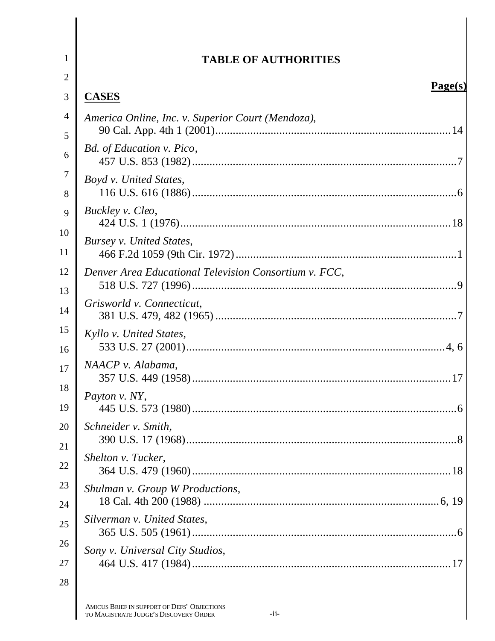| $\mathbf{1}$        | <b>TABLE OF AUTHORITIES</b>                           |
|---------------------|-------------------------------------------------------|
| $\overline{2}$      |                                                       |
| 3                   | Page(s)<br><b>CASES</b>                               |
| $\overline{4}$<br>5 | America Online, Inc. v. Superior Court (Mendoza),     |
| 6                   | Bd. of Education v. Pico,                             |
| 7<br>8              | Boyd v. United States,                                |
| 9<br>10             | Buckley v. Cleo,                                      |
| 11                  | Bursey v. United States,                              |
| 12<br>13            | Denver Area Educational Television Consortium v. FCC, |
| 14                  | Grisworld v. Connecticut,                             |
| 15<br>16            | Kyllo v. United States,                               |
| 17<br>18            | NAACP v. Alabama,                                     |
| 19                  | <i>Payton v. NY,</i>                                  |
| 20<br>21            | Schneider v. Smith,                                   |
| 22                  | Shelton v. Tucker,                                    |
| 23<br>24            | Shulman v. Group W Productions,                       |
| 25                  | Silverman v. United States,                           |
| 26<br>27            | Sony v. Universal City Studios,                       |
| 28                  |                                                       |